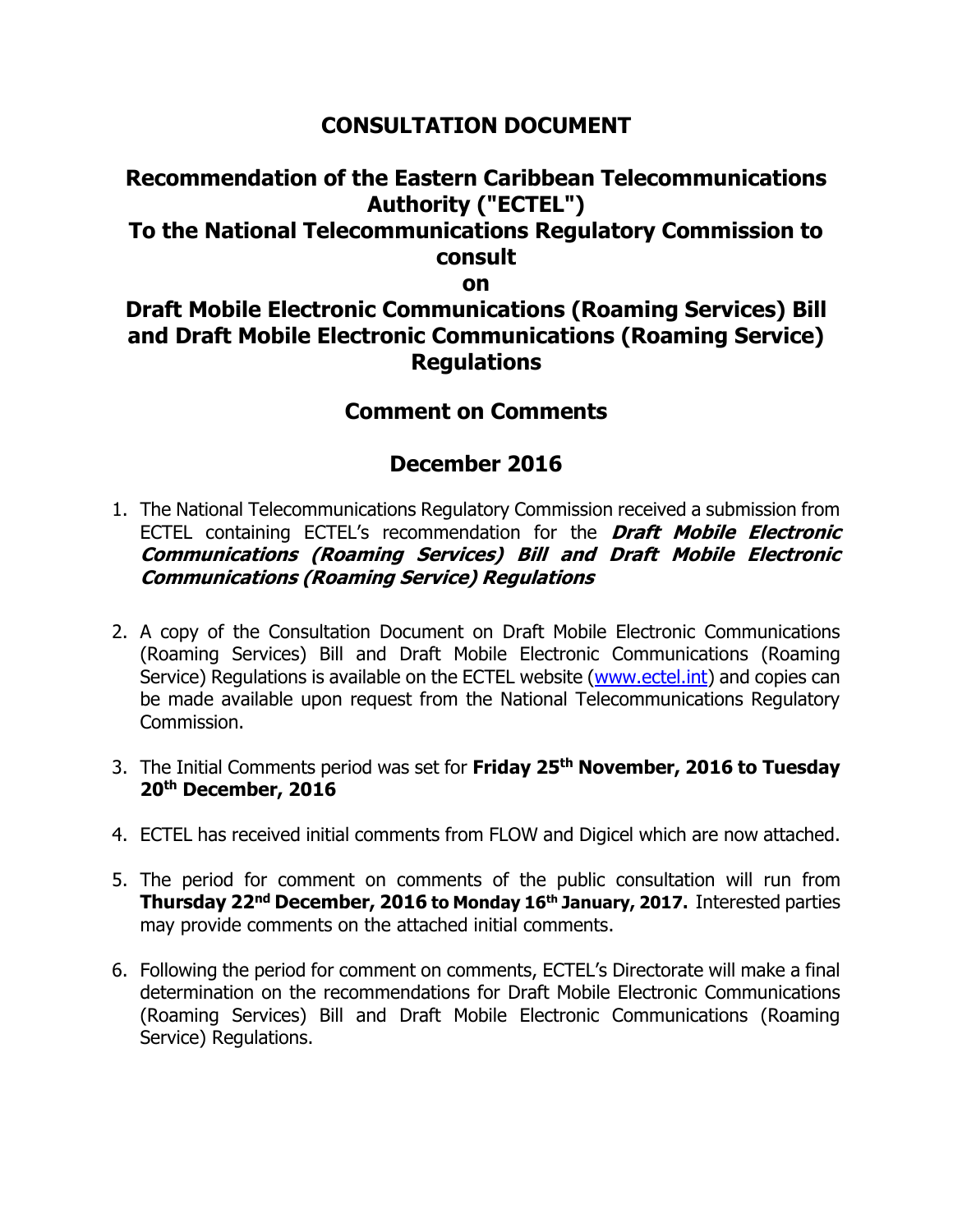### **CONSULTATION DOCUMENT**

# **Recommendation of the Eastern Caribbean Telecommunications Authority ("ECTEL") To the National Telecommunications Regulatory Commission to consult**

**on** 

## **Draft Mobile Electronic Communications (Roaming Services) Bill and Draft Mobile Electronic Communications (Roaming Service) Regulations**

### **Comment on Comments**

### **December 2016**

- 1. The National Telecommunications Regulatory Commission received a submission from ECTEL containing ECTEL's recommendation for the **Draft Mobile Electronic Communications (Roaming Services) Bill and Draft Mobile Electronic Communications (Roaming Service) Regulations**
- 2. A copy of the Consultation Document on Draft Mobile Electronic Communications (Roaming Services) Bill and Draft Mobile Electronic Communications (Roaming Service) Regulations is available on the ECTEL website [\(www.ectel.int\)](http://www.ectel.int/) and copies can be made available upon request from the National Telecommunications Regulatory Commission.
- 3. The Initial Comments period was set for **Friday 25 th November, 2016 to Tuesday 20 th December, 2016**
- 4. ECTEL has received initial comments from FLOW and Digicel which are now attached.
- 5. The period for comment on comments of the public consultation will run from **Thursday 22nd December, 2016 to Monday 16th January, 2017.** Interested parties may provide comments on the attached initial comments.
- 6. Following the period for comment on comments, ECTEL's Directorate will make a final determination on the recommendations for Draft Mobile Electronic Communications (Roaming Services) Bill and Draft Mobile Electronic Communications (Roaming Service) Regulations.